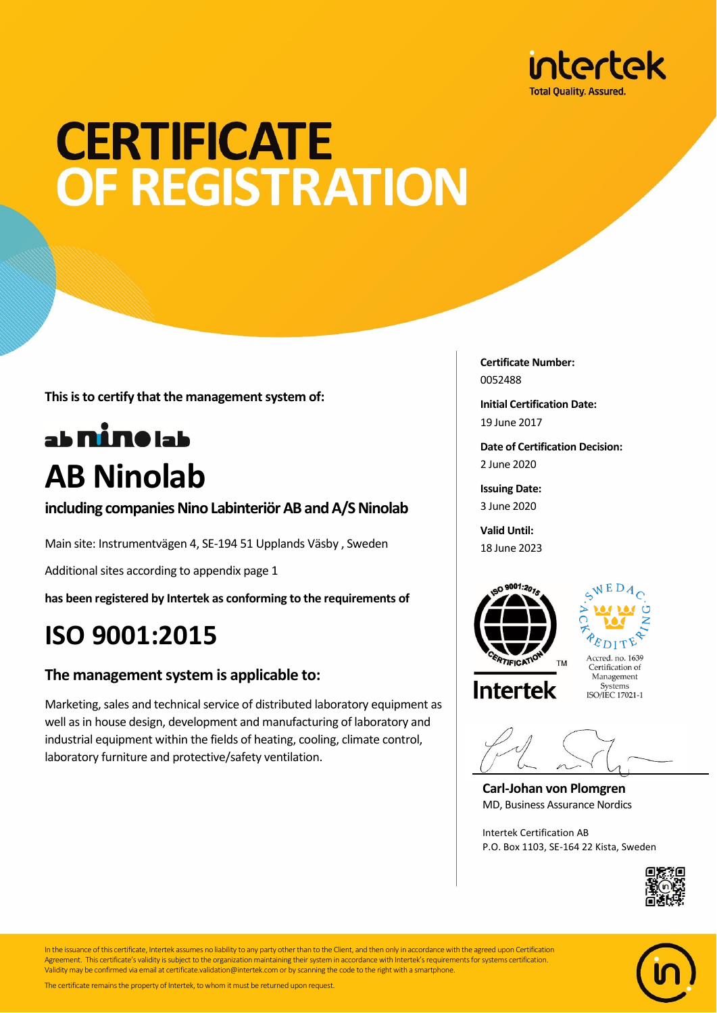

## **CERTIFICATE** OF REGISTRATION

**This is to certify that the management system of:**

### ab nine lab **AB Ninolab**

**including companies Nino Labinteriör AB and A/S Ninolab**

Main site: Instrumentvägen 4, SE-194 51 Upplands Väsby , Sweden

Additional sites according to appendix page 1

**has been registered by Intertek as conforming to the requirements of**

### **ISO 9001:2015**

#### **The management system is applicable to:**

Marketing, sales and technical service of distributed laboratory equipment as well as in house design, development and manufacturing of laboratory and industrial equipment within the fields of heating, cooling, climate control, laboratory furniture and protective/safety ventilation.

**Certificate Number:** 0052488

**Initial Certification Date:** 19 June 2017

**Date of Certification Decision:** 2 June 2020

**Issuing Date:** 3 June 2020

**Valid Until:** 18 June 2023





**Intertek** 

Certification of Management Systems ISO/IEC 17021-1

**Carl-Johan von Plomgren** MD, Business Assurance Nordics

Intertek Certification AB P.O. Box 1103, SE-164 22 Kista, Sweden





In the issuance of this certificate, Intertek assumes no liability to any party other than to the Client, and then only in accordance with the agreed upon Certification Agreement. This certificate's validity is subject to the organization maintaining their system in accordance with Intertek's requirements for systems certification. Validity may be confirmed via email at certificate.validation@intertek.com or by scanning the code to the right with a smartphone.

The certificate remains the property of Intertek, to whom it must be returned upon request.